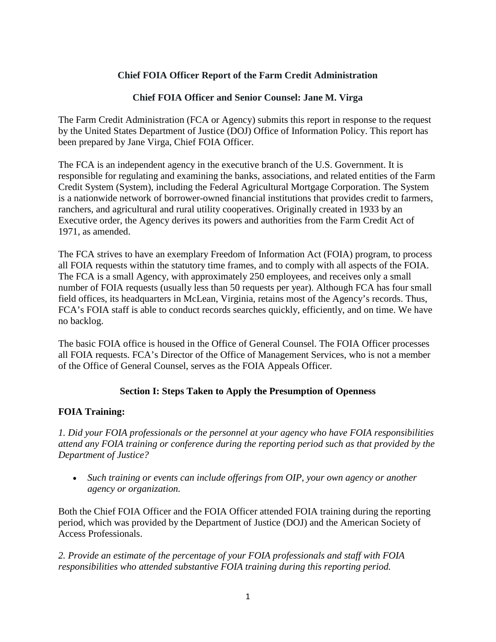## **Chief FOIA Officer Report of the Farm Credit Administration**

### **Chief FOIA Officer and Senior Counsel: Jane M. Virga**

The Farm Credit Administration (FCA or Agency) submits this report in response to the request by the United States Department of Justice (DOJ) Office of Information Policy. This report has been prepared by Jane Virga, Chief FOIA Officer.

The FCA is an independent agency in the executive branch of the U.S. Government. It is responsible for regulating and examining the banks, associations, and related entities of the Farm Credit System (System), including the Federal Agricultural Mortgage Corporation. The System is a nationwide network of borrower-owned financial institutions that provides credit to farmers, ranchers, and agricultural and rural utility cooperatives. Originally created in 1933 by an Executive order, the Agency derives its powers and authorities from the Farm Credit Act of 1971, as amended.

The FCA strives to have an exemplary Freedom of Information Act (FOIA) program, to process all FOIA requests within the statutory time frames, and to comply with all aspects of the FOIA. The FCA is a small Agency, with approximately 250 employees, and receives only a small number of FOIA requests (usually less than 50 requests per year). Although FCA has four small field offices, its headquarters in McLean, Virginia, retains most of the Agency's records. Thus, FCA's FOIA staff is able to conduct records searches quickly, efficiently, and on time. We have no backlog.

The basic FOIA office is housed in the Office of General Counsel. The FOIA Officer processes all FOIA requests. FCA's Director of the Office of Management Services, who is not a member of the Office of General Counsel, serves as the FOIA Appeals Officer.

# **Section I: Steps Taken to Apply the Presumption of Openness**

#### **FOIA Training:**

*1. Did your FOIA professionals or the personnel at your agency who have FOIA responsibilities attend any FOIA training or conference during the reporting period such as that provided by the Department of Justice?*

• *Such training or events can include offerings from OIP, your own agency or another agency or organization.*

Both the Chief FOIA Officer and the FOIA Officer attended FOIA training during the reporting period, which was provided by the Department of Justice (DOJ) and the American Society of Access Professionals.

*2. Provide an estimate of the percentage of your FOIA professionals and staff with FOIA responsibilities who attended substantive FOIA training during this reporting period.*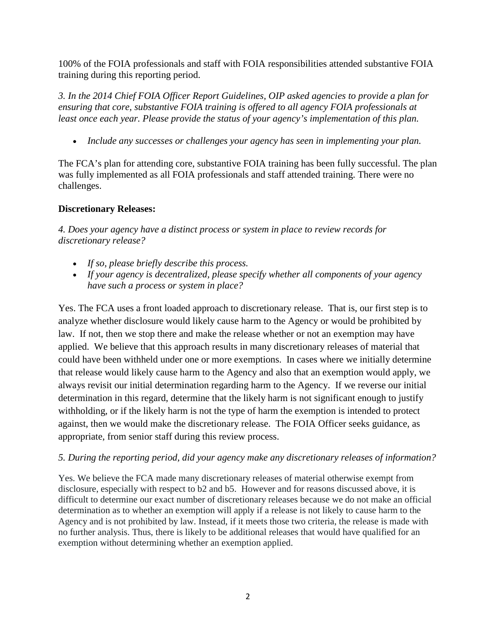100% of the FOIA professionals and staff with FOIA responsibilities attended substantive FOIA training during this reporting period.

*3. In the [2014 Chief FOIA Officer Report Guidelines,](http://www.justice.gov/oip/blog/foia-guidance-12) OIP asked agencies to provide a plan for ensuring that core, substantive FOIA training is offered to all agency FOIA professionals at least once each year. Please provide the status of your agency's implementation of this plan.*

• *Include any successes or challenges your agency has seen in implementing your plan.*

The FCA's plan for attending core, substantive FOIA training has been fully successful. The plan was fully implemented as all FOIA professionals and staff attended training. There were no challenges.

# **Discretionary Releases:**

*4. Does your agency have a distinct process or system in place to review records for discretionary release?*

- *If so, please briefly describe this process.*
- *If your agency is decentralized, please specify whether all components of your agency have such a process or system in place?*

Yes. The FCA uses a front loaded approach to discretionary release. That is, our first step is to analyze whether disclosure would likely cause harm to the Agency or would be prohibited by law. If not, then we stop there and make the release whether or not an exemption may have applied. We believe that this approach results in many discretionary releases of material that could have been withheld under one or more exemptions. In cases where we initially determine that release would likely cause harm to the Agency and also that an exemption would apply, we always revisit our initial determination regarding harm to the Agency. If we reverse our initial determination in this regard, determine that the likely harm is not significant enough to justify withholding, or if the likely harm is not the type of harm the exemption is intended to protect against, then we would make the discretionary release. The FOIA Officer seeks guidance, as appropriate, from senior staff during this review process.

#### *5. During the reporting period, did your agency make any discretionary releases of information?*

Yes. We believe the FCA made many discretionary releases of material otherwise exempt from disclosure, especially with respect to b2 and b5. However and for reasons discussed above, it is difficult to determine our exact number of discretionary releases because we do not make an official determination as to whether an exemption will apply if a release is not likely to cause harm to the Agency and is not prohibited by law. Instead, if it meets those two criteria, the release is made with no further analysis. Thus, there is likely to be additional releases that would have qualified for an exemption without determining whether an exemption applied.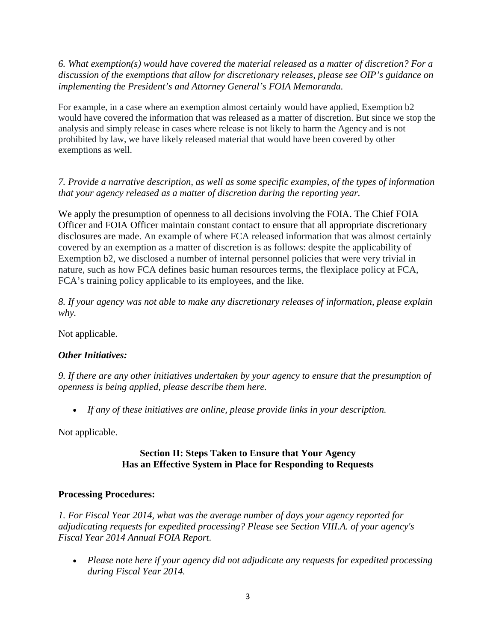*6. What exemption(s) would have covered the material released as a matter of discretion? For a discussion of the exemptions that allow for discretionary releases, please see OIP's guidance [on](http://www.justice.gov/oip/foiapost/2009foiapost8.htm)  [implementing the President's and Attorney General's FOIA Memoranda.](http://www.justice.gov/oip/foiapost/2009foiapost8.htm)* 

For example, in a case where an exemption almost certainly would have applied, Exemption b2 would have covered the information that was released as a matter of discretion. But since we stop the analysis and simply release in cases where release is not likely to harm the Agency and is not prohibited by law, we have likely released material that would have been covered by other exemptions as well.

# *7. Provide a narrative description, as well as some specific examples, of the types of information that your agency released as a matter of discretion during the reporting year.*

We apply the presumption of openness to all decisions involving the FOIA. The Chief FOIA Officer and FOIA Officer maintain constant contact to ensure that all appropriate discretionary disclosures are made. An example of where FCA released information that was almost certainly covered by an exemption as a matter of discretion is as follows: despite the applicability of Exemption b2, we disclosed a number of internal personnel policies that were very trivial in nature, such as how FCA defines basic human resources terms, the flexiplace policy at FCA, FCA's training policy applicable to its employees, and the like.

*8. If your agency was not able to make any discretionary releases of information, please explain why.*

Not applicable.

#### *Other Initiatives:*

*9. If there are any other initiatives undertaken by your agency to ensure that the presumption of openness is being applied, please describe them here.*

• *If any of these initiatives are online, please provide links in your description.*

Not applicable.

#### **Section II: Steps Taken to Ensure that Your Agency Has an Effective System in Place for Responding to Requests**

#### **Processing Procedures:**

*1. For Fiscal Year 2014, what was the average number of days your agency reported for adjudicating requests for expedited processing? Please see Section VIII.A. of your agency's Fiscal Year 2014 Annual FOIA Report.*

• *Please note here if your agency did not adjudicate any requests for expedited processing during Fiscal Year 2014.*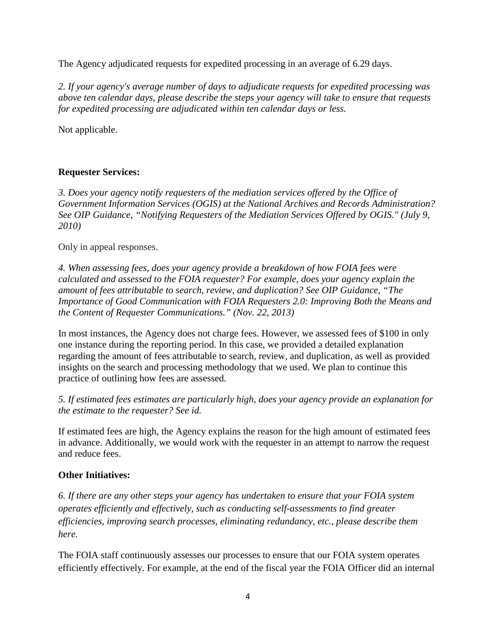The Agency adjudicated requests for expedited processing in an average of 6.29 days.

*2. If your agency's average number of days to adjudicate requests for expedited processing was above ten calendar days, please describe the steps your agency will take to ensure that requests for expedited processing are adjudicated within ten calendar days or less.* 

Not applicable.

# **Requester Services:**

*3. Does your agency notify requesters of the mediation services offered by the Office of Government Information Services (OGIS) at the National Archives and Records Administration? See OIP Guidance, ["Notifying Requesters of the Mediation Services Offered by OGIS.](http://www.justice.gov/oip/foiapost/2010foiapost21.htm)" (July 9, 2010)* 

#### Only in appeal responses.

*4. When assessing fees, does your agency provide a breakdown of how FOIA fees were calculated and assessed to the FOIA requester? For example, does your agency explain the amount of fees attributable to search, review, and duplication? See OIP Guidance, ["The](http://www.justice.gov/oip/foiapost/2013foiapost06.html)  [Importance of Good Communication with FOIA Requesters 2.0: Improving Both the Means and](http://www.justice.gov/oip/foiapost/2013foiapost06.html)  [the Content of Requester Communications.](http://www.justice.gov/oip/foiapost/2013foiapost06.html)" (Nov. 22, 2013)*

In most instances, the Agency does not charge fees. However, we assessed fees of \$100 in only one instance during the reporting period. In this case, we provided a detailed explanation regarding the amount of fees attributable to search, review, and duplication, as well as provided insights on the search and processing methodology that we used. We plan to continue this practice of outlining how fees are assessed.

*5. If estimated fees estimates are particularly high, does your agency provide an explanation for the estimate to the requester? See [id.](http://www.justice.gov/oip/foiapost/2013foiapost06.html)*

If estimated fees are high, the Agency explains the reason for the high amount of estimated fees in advance. Additionally, we would work with the requester in an attempt to narrow the request and reduce fees.

#### **Other Initiatives:**

*6. If there are any other steps your agency has undertaken to ensure that your FOIA system operates efficiently and effectively, such as conducting self-assessments to find greater efficiencies, improving search processes, eliminating redundancy, etc., please describe them here.*

The FOIA staff continuously assesses our processes to ensure that our FOIA system operates efficiently effectively. For example, at the end of the fiscal year the FOIA Officer did an internal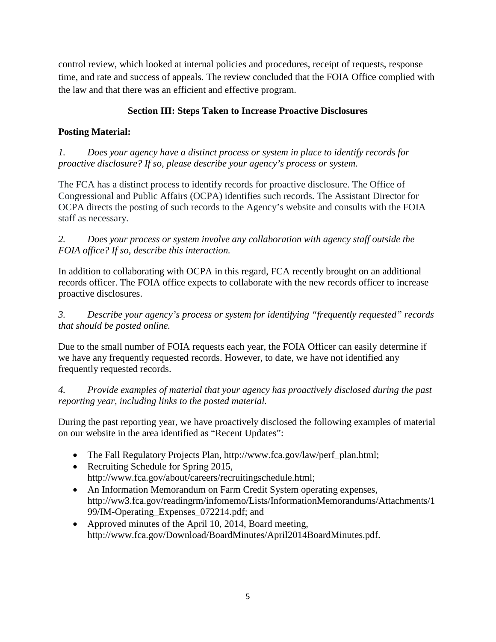control review, which looked at internal policies and procedures, receipt of requests, response time, and rate and success of appeals. The review concluded that the FOIA Office complied with the law and that there was an efficient and effective program.

# **Section III: Steps Taken to Increase Proactive Disclosures**

# **Posting Material:**

*1. Does your agency have a distinct process or system in place to identify records for proactive disclosure? If so, please describe your agency's process or system.*

The FCA has a distinct process to identify records for proactive disclosure. The Office of Congressional and Public Affairs (OCPA) identifies such records. The Assistant Director for OCPA directs the posting of such records to the Agency's website and consults with the FOIA staff as necessary.

*2. Does your process or system involve any collaboration with agency staff outside the FOIA office? If so, describe this interaction.*

In addition to collaborating with OCPA in this regard, FCA recently brought on an additional records officer. The FOIA office expects to collaborate with the new records officer to increase proactive disclosures.

*3. Describe your agency's process or system for identifying "frequently requested" records that should be posted online.*

Due to the small number of FOIA requests each year, the FOIA Officer can easily determine if we have any frequently requested records. However, to date, we have not identified any frequently requested records.

*4. Provide examples of material that your agency has proactively disclosed during the past reporting year, including links to the posted material.*

During the past reporting year, we have proactively disclosed the following examples of material on our website in the area identified as "Recent Updates":

- The Fall Regulatory Projects Plan, [http://www.fca.gov/law/perf\\_plan.html;](http://www.fca.gov/law/perf_plan.html)
- Recruiting Schedule for Spring 2015, [http://www.fca.gov/about/careers/recruitingschedule.html;](http://www.fca.gov/about/careers/recruitingschedule.html)
- An Information Memorandum on Farm Credit System operating expenses, [http://ww3.fca.gov/readingrm/infomemo/Lists/InformationMemorandums/Attachments/1](http://ww3.fca.gov/readingrm/infomemo/Lists/InformationMemorandums/Attachments/199/IM-Operating_Expenses_072214.pdf) [99/IM-Operating\\_Expenses\\_072214.pdf;](http://ww3.fca.gov/readingrm/infomemo/Lists/InformationMemorandums/Attachments/199/IM-Operating_Expenses_072214.pdf) and
- Approved minutes of the April 10, 2014, Board meeting, http://www.fca.gov/Download/BoardMinutes/April2014BoardMinutes.pdf.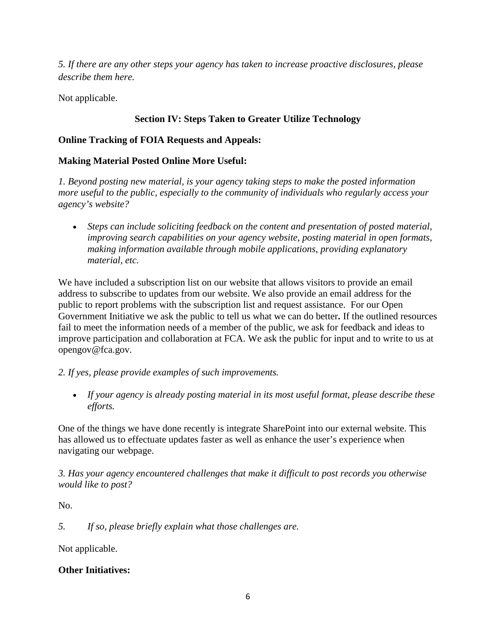*5. If there are any other steps your agency has taken to increase proactive disclosures, please describe them here.*

Not applicable.

# **Section IV: Steps Taken to Greater Utilize Technology**

# **Online Tracking of FOIA Requests and Appeals:**

## **Making Material Posted Online More Useful:**

*1. Beyond posting new material, is your agency taking steps to make the posted information more useful to the public, especially to the community of individuals who regularly access your agency's website?*

• *Steps can include soliciting feedback on the content and presentation of posted material, improving search capabilities on your agency website, posting material in open formats, making information available through mobile applications, providing explanatory material, etc.*

We have included a subscription list on our website that allows visitors to provide an email address to subscribe to updates from our website. We also provide an email address for the public to report problems with the subscription list and request assistance. For our Open Government Initiative we ask the public to tell us what we can do better**.** If the outlined resources fail to meet the information needs of a member of the public, we ask for feedback and ideas to improve participation and collaboration at FCA. We ask the public for input and to write to us at [opengov@fca.gov.](mailto:opengov@fca.gov)

#### *2. If yes, please provide examples of such improvements.*

• *If your agency is already posting material in its most useful format, please describe these efforts.*

One of the things we have done recently is integrate SharePoint into our external website. This has allowed us to effectuate updates faster as well as enhance the user's experience when navigating our webpage.

*3. Has your agency encountered challenges that make it difficult to post records you otherwise would like to post?*

No.

*5. If so, please briefly explain what those challenges are.* 

Not applicable.

#### **Other Initiatives:**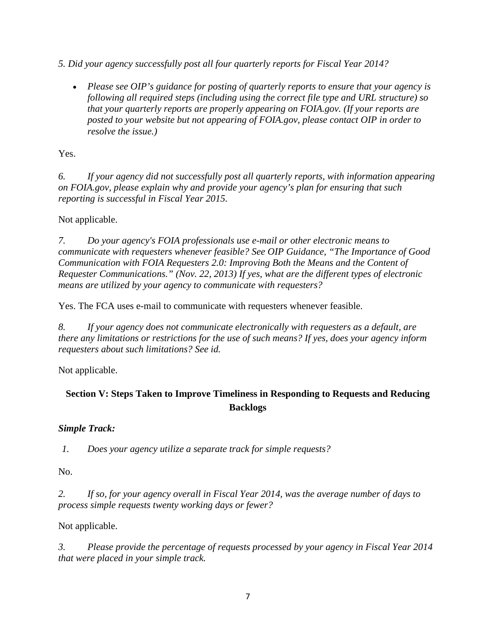*5. Did your agency successfully post all four quarterly reports for Fiscal Year 2014?*

• *Please see OIP's [guidance](http://www.justice.gov/oip/blog/foia-guidance-12) for posting of quarterly reports to ensure that your agency is following all required steps (including using the correct file type and URL structure) so that your quarterly reports are properly appearing on FOIA.gov. (If your reports are posted to your website but not appearing of FOIA.gov, please contact OIP in order to resolve the issue.)*

Yes.

*6. If your agency did not successfully post all quarterly reports, with information appearing on FOIA.gov, please explain why and provide your agency's plan for ensuring that such reporting is successful in Fiscal Year 2015.*

Not applicable.

*7. Do your agency's FOIA professionals use e-mail or other electronic means to communicate with requesters whenever feasible? See OIP Guidance, ["The Importance of Good](http://www.justice.gov/oip/foiapost/2013foiapost06.html)  [Communication with FOIA Requesters 2.0: Improving Both the Means and the Content of](http://www.justice.gov/oip/foiapost/2013foiapost06.html)  [Requester Communications.](http://www.justice.gov/oip/foiapost/2013foiapost06.html)" (Nov. 22, 2013) If yes, what are the different types of electronic means are utilized by your agency to communicate with requesters?* 

Yes. The FCA uses e-mail to communicate with requesters whenever feasible.

*8. If your agency does not communicate electronically with requesters as a default, are there any limitations or restrictions for the use of such means? If yes, does your agency inform requesters about such limitations? See [id.](http://www.justice.gov/oip/foiapost/2013foiapost06.html)*

Not applicable.

# **Section V: Steps Taken to Improve Timeliness in Responding to Requests and Reducing Backlogs**

#### *Simple Track:*

*1. Does your agency utilize a separate track for simple requests?*

No.

*2. If so, for your agency overall in Fiscal Year 2014, was the average number of days to process simple requests twenty working days or fewer?*

Not applicable.

*3. Please provide the percentage of requests processed by your agency in Fiscal Year 2014 that were placed in your simple track.*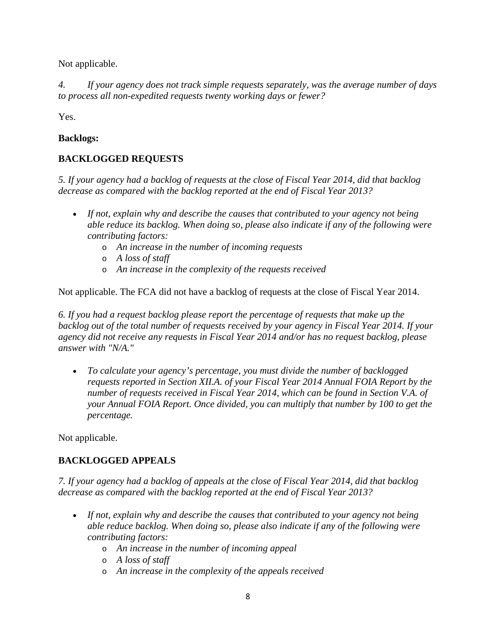Not applicable.

*4. If your agency does not track simple requests separately, was the average number of days to process all non-expedited requests twenty working days or fewer?*

Yes.

# **Backlogs:**

# **BACKLOGGED REQUESTS**

*5. If your agency had a backlog of requests at the close of Fiscal Year 2014, did that backlog decrease as compared with the backlog reported at the end of Fiscal Year 2013?*

- *If not, explain why and describe the causes that contributed to your agency not being able reduce its backlog. When doing so, please also indicate if any of the following were contributing factors:*
	- o *An increase in the number of incoming requests*
	- o *A loss of staff*
	- o *An increase in the complexity of the requests received*

Not applicable. The FCA did not have a backlog of requests at the close of Fiscal Year 2014.

*6. If you had a request backlog please report the percentage of requests that make up the backlog out of the total number of requests received by your agency in Fiscal Year 2014. If your agency did not receive any requests in Fiscal Year 2014 and/or has no request backlog, please answer with "N/A."*

• *To calculate your agency's percentage, you must divide the number of backlogged requests reported in Section XII.A. of your Fiscal Year 2014 Annual FOIA Report by the number of requests received in Fiscal Year 2014, which can be found in Section V.A. of your Annual FOIA Report. Once divided, you can multiply that number by 100 to get the percentage.*

Not applicable.

# **BACKLOGGED APPEALS**

*7. If your agency had a backlog of appeals at the close of Fiscal Year 2014, did that backlog decrease as compared with the backlog reported at the end of Fiscal Year 2013?*

- *If not, explain why and describe the causes that contributed to your agency not being able reduce backlog. When doing so, please also indicate if any of the following were contributing factors:*
	- o *An increase in the number of incoming appeal*
	- o *A loss of staff*
	- o *An increase in the complexity of the appeals received*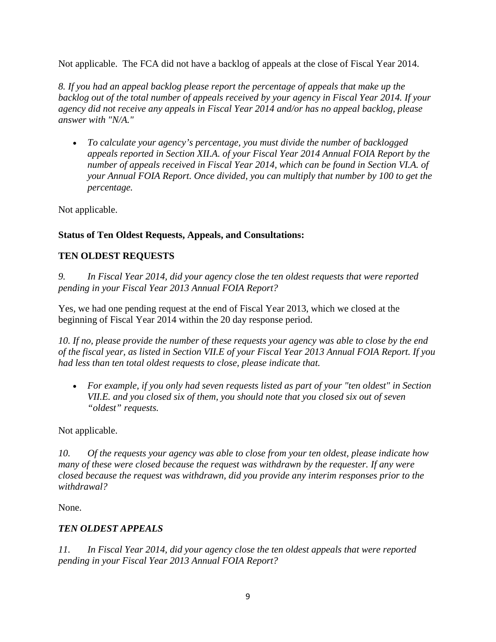Not applicable. The FCA did not have a backlog of appeals at the close of Fiscal Year 2014.

*8. If you had an appeal backlog please report the percentage of appeals that make up the backlog out of the total number of appeals received by your agency in Fiscal Year 2014. If your agency did not receive any appeals in Fiscal Year 2014 and/or has no appeal backlog, please answer with "N/A."*

• *To calculate your agency's percentage, you must divide the number of backlogged appeals reported in Section XII.A. of your Fiscal Year 2014 Annual FOIA Report by the number of appeals received in Fiscal Year 2014, which can be found in Section VI.A. of your Annual FOIA Report. Once divided, you can multiply that number by 100 to get the percentage.*

Not applicable.

# **Status of Ten Oldest Requests, Appeals, and Consultations:**

# **TEN OLDEST REQUESTS**

*9. In Fiscal Year 2014, did your agency close the ten oldest requests that were reported pending in your Fiscal Year 2013 Annual FOIA Report?*

Yes, we had one pending request at the end of Fiscal Year 2013, which we closed at the beginning of Fiscal Year 2014 within the 20 day response period.

*10. If no, please provide the number of these requests your agency was able to close by the end of the fiscal year, as listed in Section VII.E of your Fiscal Year 2013 Annual FOIA Report. If you had less than ten total oldest requests to close, please indicate that.* 

• *For example, if you only had seven requests listed as part of your "ten oldest" in Section VII.E. and you closed six of them, you should note that you closed six out of seven "oldest" requests.* 

Not applicable.

*10. Of the requests your agency was able to close from your ten oldest, please indicate how many of these were closed because the request was withdrawn by the requester. If any were closed because the request was withdrawn, did you provide any interim responses prior to the withdrawal?*

None.

# *TEN OLDEST APPEALS*

*11. In Fiscal Year 2014, did your agency close the ten oldest appeals that were reported pending in your Fiscal Year 2013 Annual FOIA Report?*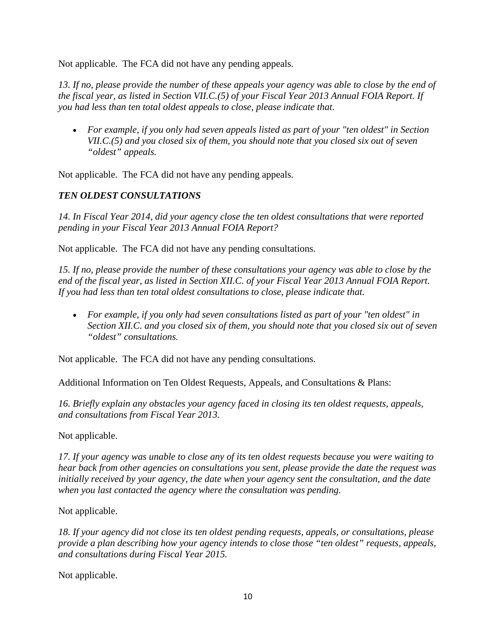Not applicable. The FCA did not have any pending appeals.

*13. If no, please provide the number of these appeals your agency was able to close by the end of the fiscal year, as listed in Section VII.C.(5) of your Fiscal Year 2013 Annual FOIA Report. If you had less than ten total oldest appeals to close, please indicate that.* 

• *For example, if you only had seven appeals listed as part of your "ten oldest" in Section VII.C.(5) and you closed six of them, you should note that you closed six out of seven "oldest" appeals.* 

Not applicable. The FCA did not have any pending appeals.

# *TEN OLDEST CONSULTATIONS*

*14. In Fiscal Year 2014, did your agency close the ten oldest consultations that were reported pending in your Fiscal Year 2013 Annual FOIA Report?*

Not applicable. The FCA did not have any pending consultations.

*15. If no, please provide the number of these consultations your agency was able to close by the end of the fiscal year, as listed in Section XII.C. of your Fiscal Year 2013 Annual FOIA Report. If you had less than ten total oldest consultations to close, please indicate that.* 

• *For example, if you only had seven consultations listed as part of your "ten oldest" in Section XII.C. and you closed six of them, you should note that you closed six out of seven "oldest" consultations.* 

Not applicable. The FCA did not have any pending consultations.

Additional Information on Ten Oldest Requests, Appeals, and Consultations & Plans:

*16. Briefly explain any obstacles your agency faced in closing its ten oldest requests, appeals, and consultations from Fiscal Year 2013.*

Not applicable.

*17. If your agency was unable to close any of its ten oldest requests because you were waiting to hear back from other agencies on consultations you sent, please provide the date the request was initially received by your agency, the date when your agency sent the consultation, and the date when you last contacted the agency where the consultation was pending.*

Not applicable.

*18. If your agency did not close its ten oldest pending requests, appeals, or consultations, please provide a plan describing how your agency intends to close those "ten oldest" requests, appeals, and consultations during Fiscal Year 2015.*

Not applicable.